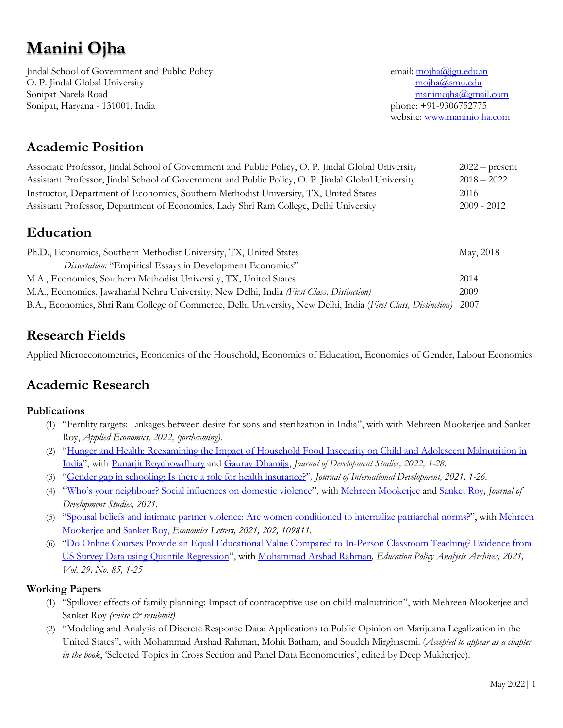# **Manini Ojha**

Jindal School of Government and Public Policy email: mojha@jgu.edu.in O. P. Jindal Global University mojha@smu.edu Sonipat Narela Road maniniojha@gmail.com Sonipat, Haryana - 131001, India phone: +91-9306752775

website: www.maniniojha.com

## **Academic Position**

| Associate Professor, Jindal School of Government and Public Policy, O. P. Jindal Global University | $2022$ – present |
|----------------------------------------------------------------------------------------------------|------------------|
| Assistant Professor, Jindal School of Government and Public Policy, O. P. Jindal Global University | $2018 - 2022$    |
| Instructor, Department of Economics, Southern Methodist University, TX, United States              | 2016             |
| Assistant Professor, Department of Economics, Lady Shri Ram College, Delhi University              | $2009 - 2012$    |
| <b>Education</b>                                                                                   |                  |
| Ph.D., Economics, Southern Methodist University, TX, United States                                 | May, 2018        |
| Dissertation: "Empirical Essays in Development Economics"                                          |                  |
| M.A., Economics, Southern Methodist University, TX, United States                                  | 2014             |
| M.A., Economics, Jawaharlal Nehru University, New Delhi, India (First Class, Distinction)<br>2009  |                  |

B.A., Economics, Shri Ram College of Commerce, Delhi University, New Delhi, India (*First Class, Distinction)* 2007

## **Research Fields**

Applied Microeconometrics, Economics of the Household, Economics of Education, Economics of Gender, Labour Economics

## **Academic Research**

#### **Publications**

- (1) "Fertility targets: Linkages between desire for sons and sterilization in India", with with Mehreen Mookerjee and Sanket Roy, *Applied Economics, 2022, (forthcoming).*
- (2) "Hunger and Health: Reexamining the Impact of Household Food Insecurity on Child and Adolescent Malnutrition in India", with Punarjit Roychowdhury and Gaurav Dhamija, *Journal of Development Studies, 2022, 1-28.*
- (3) "Gender gap in schooling: Is there a role for health insurance?"*, Journal of International Development, 2021, 1-26.*
- (4) "Who's your neighbour? Social influences on domestic violence", with Mehreen Mookerjee and Sanket Roy*, Journal of Development Studies, 2021.*
- (5) "Spousal beliefs and intimate partner violence: Are women conditioned to internalize patriarchal norms?", with Mehreen Mookerjee and Sanket Roy, *Economics Letters, 2021, 202, 109811.*
- (6) "Do Online Courses Provide an Equal Educational Value Compared to In-Person Classroom Teaching? Evidence from US Survey Data using Quantile Regression", with Mohammad Arshad Rahman*, Education Policy Analysis Archives, 2021, Vol. 29, No. 85, 1-25*

#### **Working Papers**

- (1) "Spillover effects of family planning: Impact of contraceptive use on child malnutrition", with Mehreen Mookerjee and Sanket Roy (revise & resubmit)
- (2) "Modeling and Analysis of Discrete Response Data: Applications to Public Opinion on Marijuana Legalization in the United States", with Mohammad Arshad Rahman, Mohit Batham, and Soudeh Mirghasemi. (*Accepted to appear as a chapter in the book*, 'Selected Topics in Cross Section and Panel Data Econometrics', edited by Deep Mukherjee).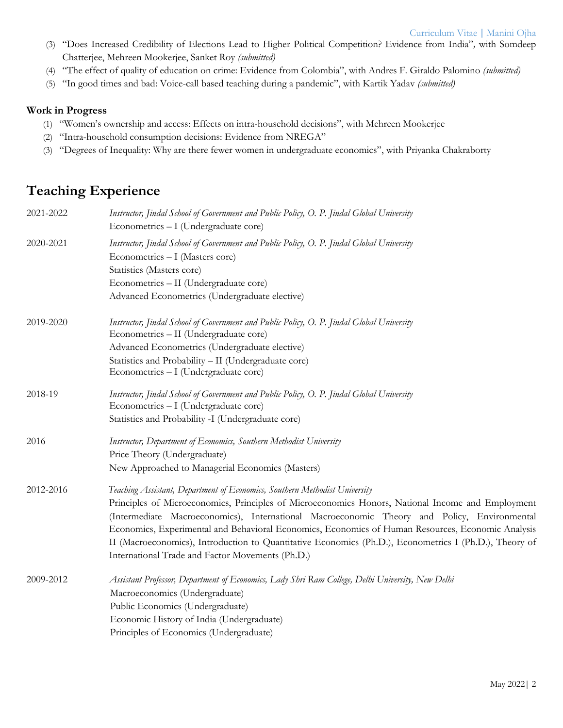- (3) "Does Increased Credibility of Elections Lead to Higher Political Competition? Evidence from India"*,* with Somdeep Chatterjee, Mehreen Mookerjee, Sanket Roy *(submitted)*
- (4) "The effect of quality of education on crime: Evidence from Colombia", with Andres F. Giraldo Palomino *(submitted)*
- (5) "In good times and bad: Voice-call based teaching during a pandemic", with Kartik Yadav *(submitted)*

#### **Work in Progress**

- (1) "Women's ownership and access: Effects on intra-household decisions", with Mehreen Mookerjee
- (2) "Intra-household consumption decisions: Evidence from NREGA"
- (3) "Degrees of Inequality: Why are there fewer women in undergraduate economics", with Priyanka Chakraborty

## **Teaching Experience**

| 2021-2022 | Instructor, Jindal School of Government and Public Policy, O. P. Jindal Global University<br>Econometrics - I (Undergraduate core) |
|-----------|------------------------------------------------------------------------------------------------------------------------------------|
| 2020-2021 | Instructor, Jindal School of Government and Public Policy, O. P. Jindal Global University<br>Econometrics - I (Masters core)       |
|           | Statistics (Masters core)                                                                                                          |
|           | Econometrics - II (Undergraduate core)                                                                                             |
|           | Advanced Econometrics (Undergraduate elective)                                                                                     |
| 2019-2020 | Instructor, Jindal School of Government and Public Policy, O. P. Jindal Global University                                          |
|           | Econometrics - II (Undergraduate core)                                                                                             |
|           | Advanced Econometrics (Undergraduate elective)                                                                                     |
|           | Statistics and Probability - II (Undergraduate core)                                                                               |
|           | Econometrics - I (Undergraduate core)                                                                                              |
| 2018-19   | Instructor, Jindal School of Government and Public Policy, O. P. Jindal Global University                                          |
|           | Econometrics - I (Undergraduate core)                                                                                              |
|           | Statistics and Probability -I (Undergraduate core)                                                                                 |
| 2016      | Instructor, Department of Economics, Southern Methodist University                                                                 |
|           | Price Theory (Undergraduate)                                                                                                       |
|           | New Approached to Managerial Economics (Masters)                                                                                   |
| 2012-2016 | Teaching Assistant, Department of Economics, Southern Methodist University                                                         |
|           | Principles of Microeconomics, Principles of Microeconomics Honors, National Income and Employment                                  |
|           | (Intermediate Macroeconomics), International Macroeconomic Theory and Policy, Environmental                                        |
|           | Economics, Experimental and Behavioral Economics, Economics of Human Resources, Economic Analysis                                  |
|           | II (Macroeconomics), Introduction to Quantitative Economics (Ph.D.), Econometrics I (Ph.D.), Theory of                             |
|           | International Trade and Factor Movements (Ph.D.)                                                                                   |
| 2009-2012 | Assistant Professor, Department of Economics, Lady Shri Ram College, Delhi University, New Delhi                                   |
|           | Macroeconomics (Undergraduate)                                                                                                     |
|           | Public Economics (Undergraduate)                                                                                                   |
|           | Economic History of India (Undergraduate)                                                                                          |
|           | Principles of Economics (Undergraduate)                                                                                            |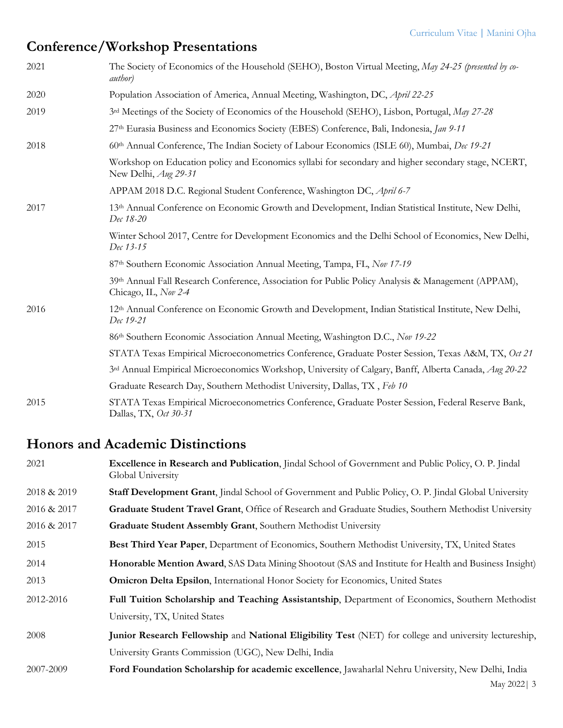## **Conference/Workshop Presentations**

| 2021 | The Society of Economics of the Household (SEHO), Boston Virtual Meeting, May 24-25 (presented by co-<br><i>author</i> )     |
|------|------------------------------------------------------------------------------------------------------------------------------|
| 2020 | Population Association of America, Annual Meeting, Washington, DC, April 22-25                                               |
| 2019 | 3rd Meetings of the Society of Economics of the Household (SEHO), Lisbon, Portugal, May 27-28                                |
|      | 27th Eurasia Business and Economics Society (EBES) Conference, Bali, Indonesia, Jan 9-11                                     |
| 2018 | 60th Annual Conference, The Indian Society of Labour Economics (ISLE 60), Mumbai, Dec 19-21                                  |
|      | Workshop on Education policy and Economics syllabi for secondary and higher secondary stage, NCERT,<br>New Delhi, Aug 29-31  |
|      | APPAM 2018 D.C. Regional Student Conference, Washington DC, April 6-7                                                        |
| 2017 | 13th Annual Conference on Economic Growth and Development, Indian Statistical Institute, New Delhi,<br>Dec 18-20             |
|      | Winter School 2017, Centre for Development Economics and the Delhi School of Economics, New Delhi,<br>Dec 13-15              |
|      | 87th Southern Economic Association Annual Meeting, Tampa, FL, Nov 17-19                                                      |
|      | 39th Annual Fall Research Conference, Association for Public Policy Analysis & Management (APPAM),<br>Chicago, IL, Nov 2-4   |
| 2016 | 12 <sup>th</sup> Annual Conference on Economic Growth and Development, Indian Statistical Institute, New Delhi,<br>Dec 19-21 |
|      | 86th Southern Economic Association Annual Meeting, Washington D.C., Nov 19-22                                                |
|      | STATA Texas Empirical Microeconometrics Conference, Graduate Poster Session, Texas A&M, TX, Oct 21                           |
|      | 3rd Annual Empirical Microeconomics Workshop, University of Calgary, Banff, Alberta Canada, Aug 20-22                        |
|      | Graduate Research Day, Southern Methodist University, Dallas, TX, Feb 10                                                     |
| 2015 | STATA Texas Empirical Microeconometrics Conference, Graduate Poster Session, Federal Reserve Bank,<br>Dallas, TX, Oct 30-31  |

## **Honors and Academic Distinctions**

| 2021        | Excellence in Research and Publication, Jindal School of Government and Public Policy, O. P. Jindal<br>Global University |
|-------------|--------------------------------------------------------------------------------------------------------------------------|
| 2018 & 2019 | Staff Development Grant, Jindal School of Government and Public Policy, O. P. Jindal Global University                   |
| 2016 & 2017 | Graduate Student Travel Grant, Office of Research and Graduate Studies, Southern Methodist University                    |
| 2016 & 2017 | Graduate Student Assembly Grant, Southern Methodist University                                                           |
| 2015        | Best Third Year Paper, Department of Economics, Southern Methodist University, TX, United States                         |
| 2014        | Honorable Mention Award, SAS Data Mining Shootout (SAS and Institute for Health and Business Insight)                    |
| 2013        | <b>Omicron Delta Epsilon, International Honor Society for Economics, United States</b>                                   |
| 2012-2016   | Full Tuition Scholarship and Teaching Assistantship, Department of Economics, Southern Methodist                         |
|             | University, TX, United States                                                                                            |
| 2008        | Junior Research Fellowship and National Eligibility Test (NET) for college and university lectureship,                   |
|             | University Grants Commission (UGC), New Delhi, India                                                                     |
| 2007-2009   | Ford Foundation Scholarship for academic excellence, Jawaharlal Nehru University, New Delhi, India                       |
|             | May 2022   3                                                                                                             |